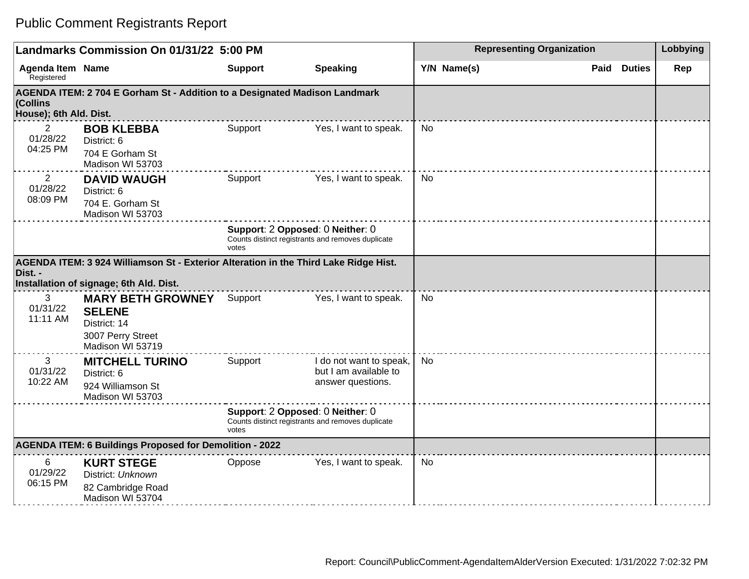## Public Comment Registrants Report

|                                                                                                | Landmarks Commission On 01/31/22 5:00 PM                                                                                        |                | <b>Representing Organization</b>                                                      | Lobbying    |                       |     |
|------------------------------------------------------------------------------------------------|---------------------------------------------------------------------------------------------------------------------------------|----------------|---------------------------------------------------------------------------------------|-------------|-----------------------|-----|
| <b>Agenda Item Name</b><br>Registered                                                          |                                                                                                                                 | <b>Support</b> | <b>Speaking</b>                                                                       | Y/N Name(s) | <b>Duties</b><br>Paid | Rep |
| (Collins<br>House); 6th Ald. Dist.                                                             | AGENDA ITEM: 2 704 E Gorham St - Addition to a Designated Madison Landmark                                                      |                |                                                                                       |             |                       |     |
| $\overline{2}$<br>01/28/22<br>04:25 PM                                                         | <b>BOB KLEBBA</b><br>District: 6<br>704 E Gorham St<br>Madison WI 53703                                                         | Support        | Yes, I want to speak.                                                                 | <b>No</b>   |                       |     |
| 2<br>01/28/22<br>08:09 PM                                                                      | <b>DAVID WAUGH</b><br>District: 6<br>704 E. Gorham St<br>Madison WI 53703                                                       | Support        | Yes, I want to speak.                                                                 | <b>No</b>   |                       |     |
|                                                                                                |                                                                                                                                 | votes          | Support: 2 Opposed: 0 Neither: 0<br>Counts distinct registrants and removes duplicate |             |                       |     |
| Dist. -                                                                                        | AGENDA ITEM: 3 924 Williamson St - Exterior Alteration in the Third Lake Ridge Hist.<br>Installation of signage; 6th Ald. Dist. |                |                                                                                       |             |                       |     |
| 3<br>01/31/22<br>11:11 AM                                                                      | <b>MARY BETH GROWNEY</b><br><b>SELENE</b><br>District: 14<br>3007 Perry Street<br>Madison WI 53719                              | Support        | Yes, I want to speak.                                                                 | <b>No</b>   |                       |     |
| 3<br>01/31/22<br>10:22 AM                                                                      | <b>MITCHELL TURINO</b><br>District: 6<br>924 Williamson St<br>Madison WI 53703                                                  | Support        | I do not want to speak,<br>but I am available to<br>answer questions.                 | <b>No</b>   |                       |     |
| Support: 2 Opposed: 0 Neither: 0<br>Counts distinct registrants and removes duplicate<br>votes |                                                                                                                                 |                |                                                                                       |             |                       |     |
|                                                                                                | <b>AGENDA ITEM: 6 Buildings Proposed for Demolition - 2022</b>                                                                  |                |                                                                                       |             |                       |     |
| 6<br>01/29/22<br>06:15 PM                                                                      | <b>KURT STEGE</b><br>District: Unknown<br>82 Cambridge Road<br>Madison WI 53704                                                 | Oppose         | Yes, I want to speak.                                                                 | <b>No</b>   |                       |     |